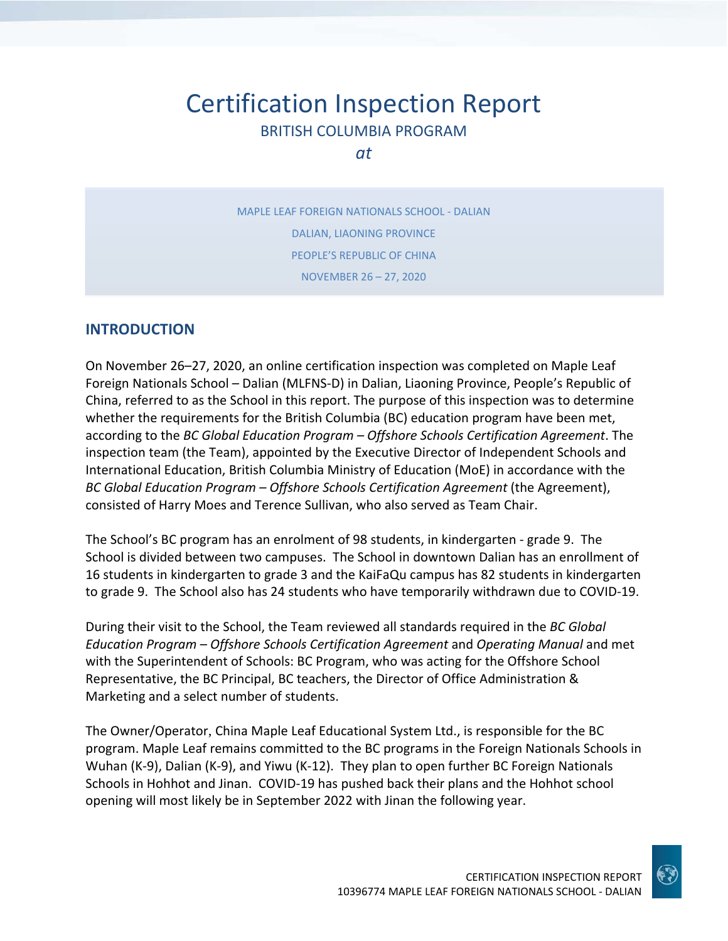# Certification Inspection Report BRITISH COLUMBIA PROGRAM

*at*

MAPLE LEAF FOREIGN NATIONALS SCHOOL ‐ DALIAN DALIAN, LIAONING PROVINCE PEOPLE'S REPUBLIC OF CHINA NOVEMBER 26 – 27, 2020

#### **INTRODUCTION**

On November 26–27, 2020, an online certification inspection was completed on Maple Leaf Foreign Nationals School – Dalian (MLFNS‐D) in Dalian, Liaoning Province, People's Republic of China, referred to as the School in this report. The purpose of this inspection was to determine whether the requirements for the British Columbia (BC) education program have been met, according to the *BC Global Education Program – Offshore Schools Certification Agreement*. The inspection team (the Team), appointed by the Executive Director of Independent Schools and International Education, British Columbia Ministry of Education (MoE) in accordance with the *BC Global Education Program – Offshore Schools Certification Agreement* (the Agreement), consisted of Harry Moes and Terence Sullivan, who also served as Team Chair.

The School's BC program has an enrolment of 98 students, in kindergarten ‐ grade 9. The School is divided between two campuses. The School in downtown Dalian has an enrollment of 16 students in kindergarten to grade 3 and the KaiFaQu campus has 82 students in kindergarten to grade 9. The School also has 24 students who have temporarily withdrawn due to COVID‐19.

During their visit to the School, the Team reviewed all standards required in the *BC Global Education Program – Offshore Schools Certification Agreement* and *Operating Manual* and met with the Superintendent of Schools: BC Program, who was acting for the Offshore School Representative, the BC Principal, BC teachers, the Director of Office Administration & Marketing and a select number of students.

The Owner/Operator, China Maple Leaf Educational System Ltd., is responsible for the BC program. Maple Leaf remains committed to the BC programs in the Foreign Nationals Schools in Wuhan (K‐9), Dalian (K‐9), and Yiwu (K‐12). They plan to open further BC Foreign Nationals Schools in Hohhot and Jinan. COVID‐19 has pushed back their plans and the Hohhot school opening will most likely be in September 2022 with Jinan the following year.

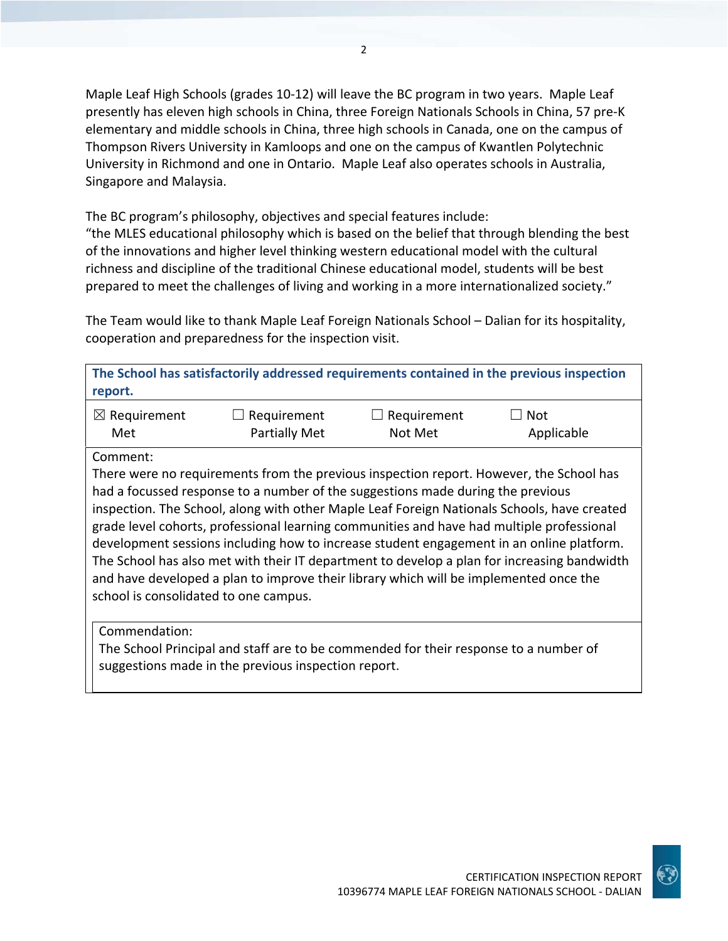Maple Leaf High Schools (grades 10‐12) will leave the BC program in two years. Maple Leaf presently has eleven high schools in China, three Foreign Nationals Schools in China, 57 pre‐K elementary and middle schools in China, three high schools in Canada, one on the campus of Thompson Rivers University in Kamloops and one on the campus of Kwantlen Polytechnic University in Richmond and one in Ontario. Maple Leaf also operates schools in Australia, Singapore and Malaysia.

The BC program's philosophy, objectives and special features include:

"the MLES educational philosophy which is based on the belief that through blending the best of the innovations and higher level thinking western educational model with the cultural richness and discipline of the traditional Chinese educational model, students will be best prepared to meet the challenges of living and working in a more internationalized society."

The Team would like to thank Maple Leaf Foreign Nationals School – Dalian for its hospitality, cooperation and preparedness for the inspection visit.

| report.                 |                      |                    | The School has satisfactorily addressed requirements contained in the previous inspection |
|-------------------------|----------------------|--------------------|-------------------------------------------------------------------------------------------|
| $\boxtimes$ Requirement | $\Box$ Requirement   | $\Box$ Requirement | $\Box$ Not                                                                                |
| Met                     | <b>Partially Met</b> | Not Met            | Applicable                                                                                |

Comment:

There were no requirements from the previous inspection report. However, the School has had a focussed response to a number of the suggestions made during the previous inspection. The School, along with other Maple Leaf Foreign Nationals Schools, have created grade level cohorts, professional learning communities and have had multiple professional development sessions including how to increase student engagement in an online platform. The School has also met with their IT department to develop a plan for increasing bandwidth and have developed a plan to improve their library which will be implemented once the school is consolidated to one campus.

Commendation:

The School Principal and staff are to be commended for their response to a number of suggestions made in the previous inspection report.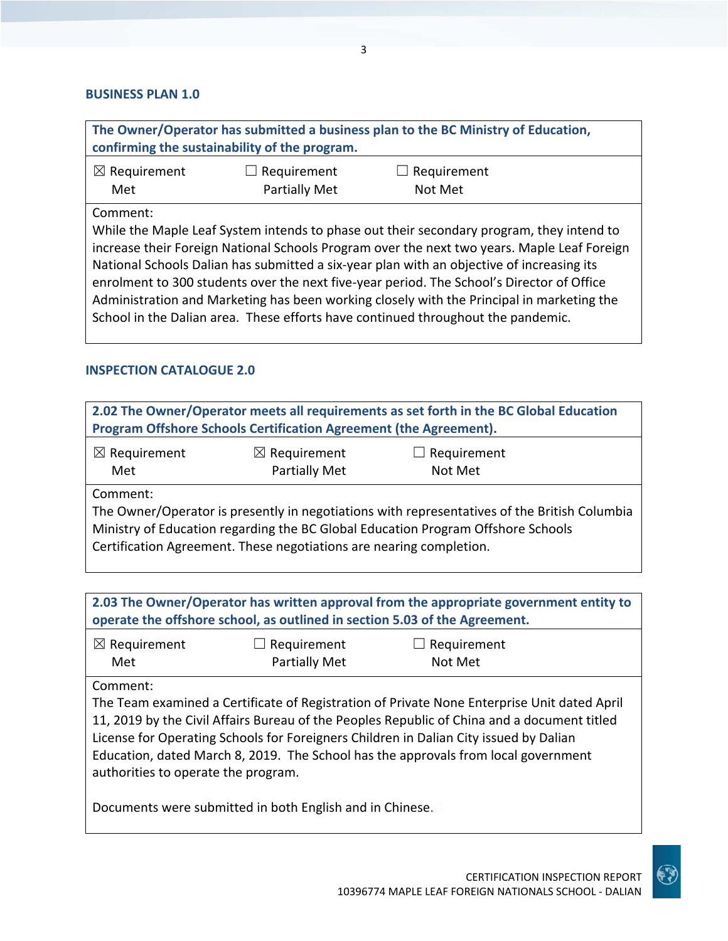#### **BUSINESS PLAN 1.0**

| The Owner/Operator has submitted a business plan to the BC Ministry of Education,<br>confirming the sustainability of the program. |                                            |                                                                                          |  |
|------------------------------------------------------------------------------------------------------------------------------------|--------------------------------------------|------------------------------------------------------------------------------------------|--|
| $\boxtimes$ Requirement<br>Met                                                                                                     | $\Box$ Requirement<br><b>Partially Met</b> | $\Box$ Requirement<br>Not Met                                                            |  |
| Comment:                                                                                                                           |                                            | While the Maple Leaf Custom intende to phase out their secondary program, thou intend to |  |

While the Maple Leaf System intends to phase out their secondary program, they intend to increase their Foreign National Schools Program over the next two years. Maple Leaf Foreign National Schools Dalian has submitted a six‐year plan with an objective of increasing its enrolment to 300 students over the next five‐year period. The School's Director of Office Administration and Marketing has been working closely with the Principal in marketing the School in the Dalian area. These efforts have continued throughout the pandemic.

#### **INSPECTION CATALOGUE 2.0**

| 2.02 The Owner/Operator meets all requirements as set forth in the BC Global Education<br>Program Offshore Schools Certification Agreement (the Agreement).                                                                                                         |  |  |  |
|---------------------------------------------------------------------------------------------------------------------------------------------------------------------------------------------------------------------------------------------------------------------|--|--|--|
| $\boxtimes$ Requirement<br>$\boxtimes$ Requirement<br>$\Box$ Requirement<br><b>Partially Met</b><br>Not Met<br>Met                                                                                                                                                  |  |  |  |
| Comment:<br>The Owner/Operator is presently in negotiations with representatives of the British Columbia<br>Ministry of Education regarding the BC Global Education Program Offshore Schools<br>Certification Agreement. These negotiations are nearing completion. |  |  |  |

**2.03 The Owner/Operator has written approval from the appropriate government entity to operate the offshore school, as outlined in section 5.03 of the Agreement.**

| $\boxtimes$ Requirement | $\Box$ Requirement   | $\Box$ Requirement |
|-------------------------|----------------------|--------------------|
| Met                     | <b>Partially Met</b> | Not Met            |

Comment:

The Team examined a Certificate of Registration of Private None Enterprise Unit dated April 11, 2019 by the Civil Affairs Bureau of the Peoples Republic of China and a document titled License for Operating Schools for Foreigners Children in Dalian City issued by Dalian Education, dated March 8, 2019. The School has the approvals from local government authorities to operate the program.

Documents were submitted in both English and in Chinese.

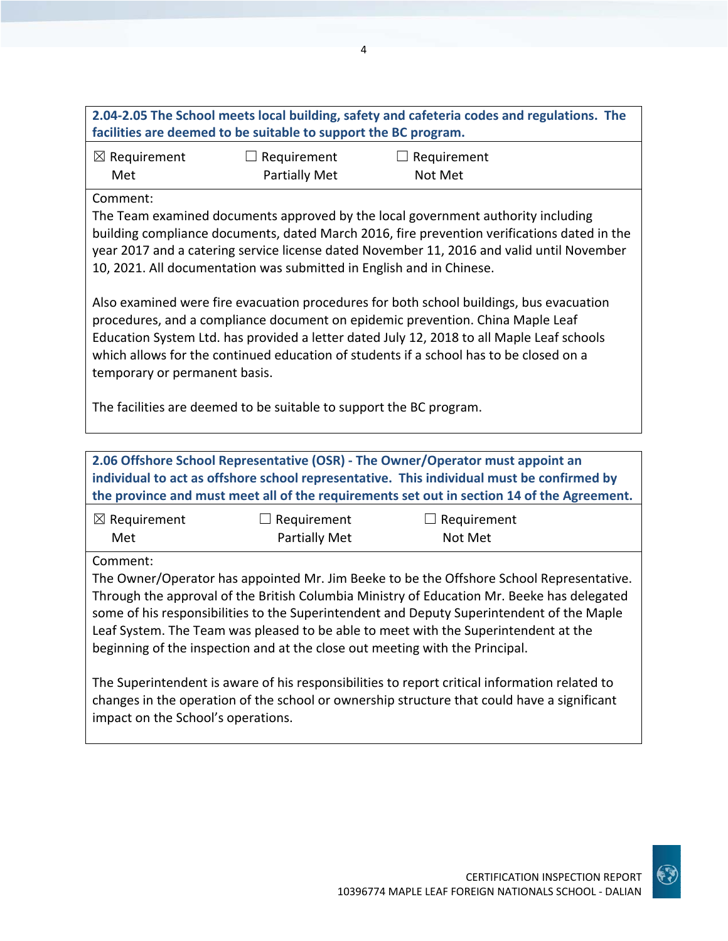| 2.04-2.05 The School meets local building, safety and cafeteria codes and regulations. The<br>facilities are deemed to be suitable to support the BC program.                                                                                                                                                                                                                                     |                              |                               |  |
|---------------------------------------------------------------------------------------------------------------------------------------------------------------------------------------------------------------------------------------------------------------------------------------------------------------------------------------------------------------------------------------------------|------------------------------|-------------------------------|--|
| $\boxtimes$ Requirement<br>Met                                                                                                                                                                                                                                                                                                                                                                    | Requirement<br>Partially Met | $\Box$ Requirement<br>Not Met |  |
| Comment:<br>The Team examined documents approved by the local government authority including<br>building compliance documents, dated March 2016, fire prevention verifications dated in the<br>year 2017 and a catering service license dated November 11, 2016 and valid until November<br>10, 2021. All documentation was submitted in English and in Chinese.                                  |                              |                               |  |
| Also examined were fire evacuation procedures for both school buildings, bus evacuation<br>procedures, and a compliance document on epidemic prevention. China Maple Leaf<br>Education System Ltd. has provided a letter dated July 12, 2018 to all Maple Leaf schools<br>which allows for the continued education of students if a school has to be closed on a<br>temporary or permanent basis. |                              |                               |  |
| The facilities are deemed to be suitable to support the BC program.                                                                                                                                                                                                                                                                                                                               |                              |                               |  |
| 2.06 Offshore School Representative (OSR) - The Owner/Operator must appoint an                                                                                                                                                                                                                                                                                                                    |                              |                               |  |

| 2.06 Offshore School Representative (OSR) - The Owner/Operator must appoint an<br>individual to act as offshore school representative. This individual must be confirmed by<br>the province and must meet all of the requirements set out in section 14 of the Agreement.                                                                                                                                                                                              |                                     |                        |  |
|------------------------------------------------------------------------------------------------------------------------------------------------------------------------------------------------------------------------------------------------------------------------------------------------------------------------------------------------------------------------------------------------------------------------------------------------------------------------|-------------------------------------|------------------------|--|
| $\boxtimes$ Requirement<br>Met                                                                                                                                                                                                                                                                                                                                                                                                                                         | Requirement<br><b>Partially Met</b> | Requirement<br>Not Met |  |
| Comment:<br>The Owner/Operator has appointed Mr. Jim Beeke to be the Offshore School Representative.<br>Through the approval of the British Columbia Ministry of Education Mr. Beeke has delegated<br>some of his responsibilities to the Superintendent and Deputy Superintendent of the Maple<br>Leaf System. The Team was pleased to be able to meet with the Superintendent at the<br>beginning of the inspection and at the close out meeting with the Principal. |                                     |                        |  |
| The Superintendent is aware of his responsibilities to report critical information related to<br>changes in the operation of the school or ownership structure that could have a significant<br>impact on the School's operations.                                                                                                                                                                                                                                     |                                     |                        |  |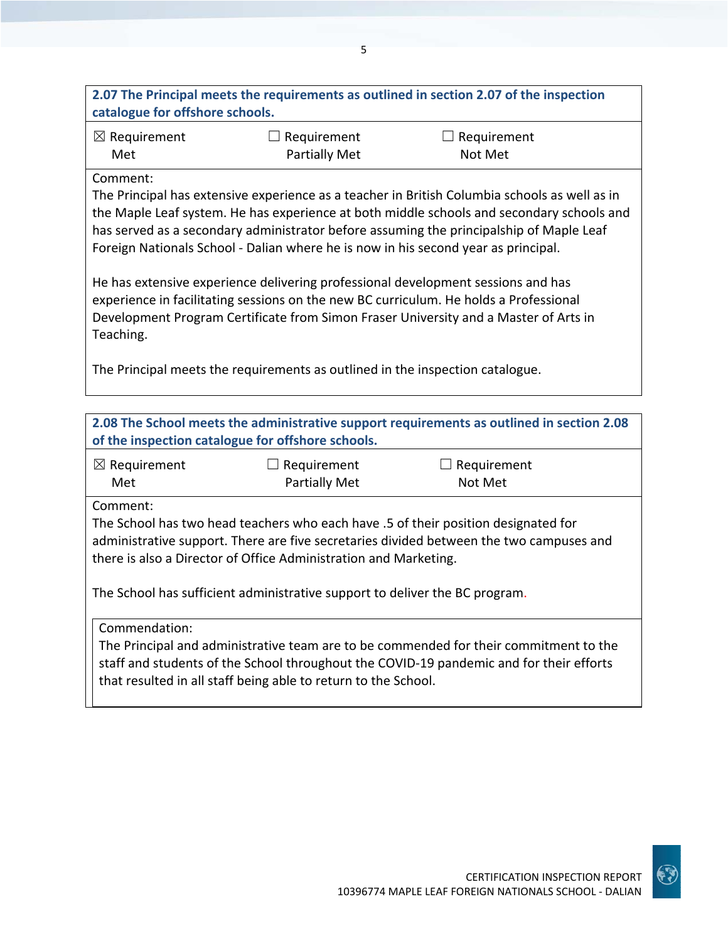| $\boxtimes$ Requirement<br>$\Box$ Requirement<br>Requirement<br><b>Partially Met</b><br>Met<br>Not Met<br>Comment:<br>The Principal has extensive experience as a teacher in British Columbia schools as well as in<br>the Maple Leaf system. He has experience at both middle schools and secondary schools and<br>has served as a secondary administrator before assuming the principalship of Maple Leaf<br>Foreign Nationals School - Dalian where he is now in his second year as principal.<br>He has extensive experience delivering professional development sessions and has<br>experience in facilitating sessions on the new BC curriculum. He holds a Professional<br>Development Program Certificate from Simon Fraser University and a Master of Arts in<br>Teaching.<br>The Principal meets the requirements as outlined in the inspection catalogue.<br>of the inspection catalogue for offshore schools.<br>$\boxtimes$ Requirement<br>$\Box$ Requirement<br>$\Box$ Requirement<br>Partially Met<br>Not Met<br>Met<br>Comment: |                                                                                           |  |  |  |
|-------------------------------------------------------------------------------------------------------------------------------------------------------------------------------------------------------------------------------------------------------------------------------------------------------------------------------------------------------------------------------------------------------------------------------------------------------------------------------------------------------------------------------------------------------------------------------------------------------------------------------------------------------------------------------------------------------------------------------------------------------------------------------------------------------------------------------------------------------------------------------------------------------------------------------------------------------------------------------------------------------------------------------------------------|-------------------------------------------------------------------------------------------|--|--|--|
|                                                                                                                                                                                                                                                                                                                                                                                                                                                                                                                                                                                                                                                                                                                                                                                                                                                                                                                                                                                                                                                 |                                                                                           |  |  |  |
|                                                                                                                                                                                                                                                                                                                                                                                                                                                                                                                                                                                                                                                                                                                                                                                                                                                                                                                                                                                                                                                 |                                                                                           |  |  |  |
|                                                                                                                                                                                                                                                                                                                                                                                                                                                                                                                                                                                                                                                                                                                                                                                                                                                                                                                                                                                                                                                 |                                                                                           |  |  |  |
|                                                                                                                                                                                                                                                                                                                                                                                                                                                                                                                                                                                                                                                                                                                                                                                                                                                                                                                                                                                                                                                 |                                                                                           |  |  |  |
|                                                                                                                                                                                                                                                                                                                                                                                                                                                                                                                                                                                                                                                                                                                                                                                                                                                                                                                                                                                                                                                 | 2.08 The School meets the administrative support requirements as outlined in section 2.08 |  |  |  |
|                                                                                                                                                                                                                                                                                                                                                                                                                                                                                                                                                                                                                                                                                                                                                                                                                                                                                                                                                                                                                                                 |                                                                                           |  |  |  |
| The School has two head teachers who each have .5 of their position designated for<br>administrative support. There are five secretaries divided between the two campuses and<br>there is also a Director of Office Administration and Marketing.<br>The School has sufficient administrative support to deliver the BC program.<br>Commendation:<br>The Principal and administrative team are to be commended for their commitment to the<br>staff and students of the School throughout the COVID-19 pandemic and for their efforts<br>that resulted in all staff being able to return to the School.                                                                                                                                                                                                                                                                                                                                                                                                                                         |                                                                                           |  |  |  |

5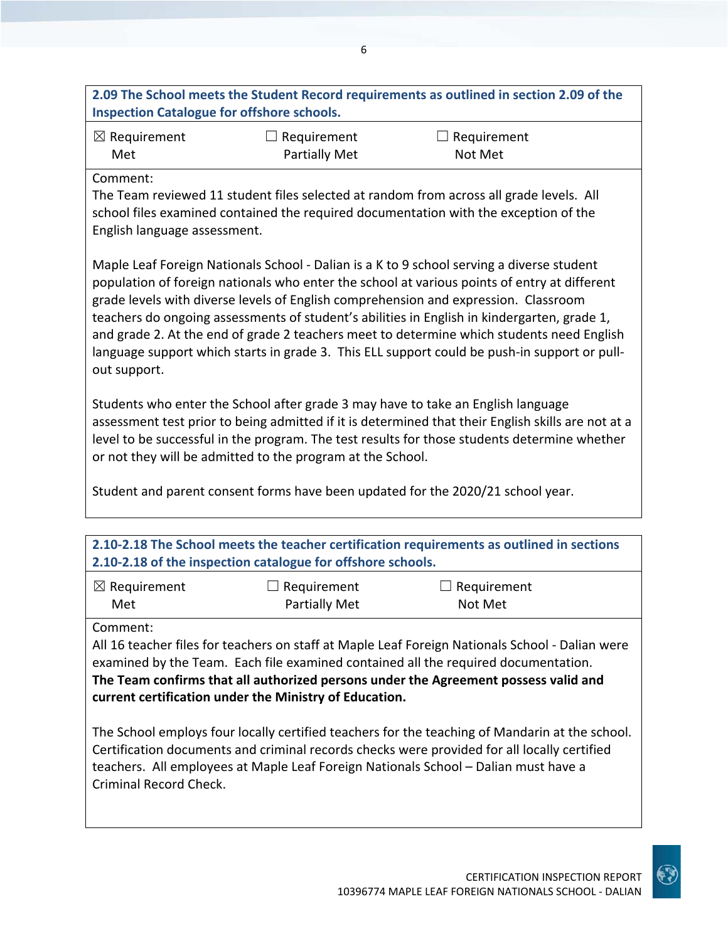**2.09 The School meets the Student Record requirements as outlined in section 2.09 of the Inspection Catalogue for offshore schools.**

| $\boxtimes$ Requirement | $\Box$ Requirement   | $\Box$ Requirement |
|-------------------------|----------------------|--------------------|
| Met                     | <b>Partially Met</b> | Not Met            |

Comment:

The Team reviewed 11 student files selected at random from across all grade levels. All school files examined contained the required documentation with the exception of the English language assessment.

Maple Leaf Foreign Nationals School ‐ Dalian is a K to 9 school serving a diverse student population of foreign nationals who enter the school at various points of entry at different grade levels with diverse levels of English comprehension and expression. Classroom teachers do ongoing assessments of student's abilities in English in kindergarten, grade 1, and grade 2. At the end of grade 2 teachers meet to determine which students need English language support which starts in grade 3. This ELL support could be push-in support or pullout support.

Students who enter the School after grade 3 may have to take an English language assessment test prior to being admitted if it is determined that their English skills are not at a level to be successful in the program. The test results for those students determine whether or not they will be admitted to the program at the School.

Student and parent consent forms have been updated for the 2020/21 school year.

| 2.10-2.18 The School meets the teacher certification requirements as outlined in sections<br>2.10-2.18 of the inspection catalogue for offshore schools.                                                                                                                                 |  |  |  |
|------------------------------------------------------------------------------------------------------------------------------------------------------------------------------------------------------------------------------------------------------------------------------------------|--|--|--|
|                                                                                                                                                                                                                                                                                          |  |  |  |
| $\boxtimes$ Requirement<br>$\Box$ Requirement<br>$\Box$ Requirement<br><b>Partially Met</b><br>Not Met<br>Met                                                                                                                                                                            |  |  |  |
| Comment:<br>All 16 teacher files for teachers on staff at Maple Leaf Foreign Nationals School - Dalian were<br>examined by the Team. Each file examined contained all the required documentation.<br>The Team confirms that all authorized persons under the Agreement possess valid and |  |  |  |

**current certification under the Ministry of Education.**

The School employs four locally certified teachers for the teaching of Mandarin at the school. Certification documents and criminal records checks were provided for all locally certified teachers. All employees at Maple Leaf Foreign Nationals School – Dalian must have a Criminal Record Check.

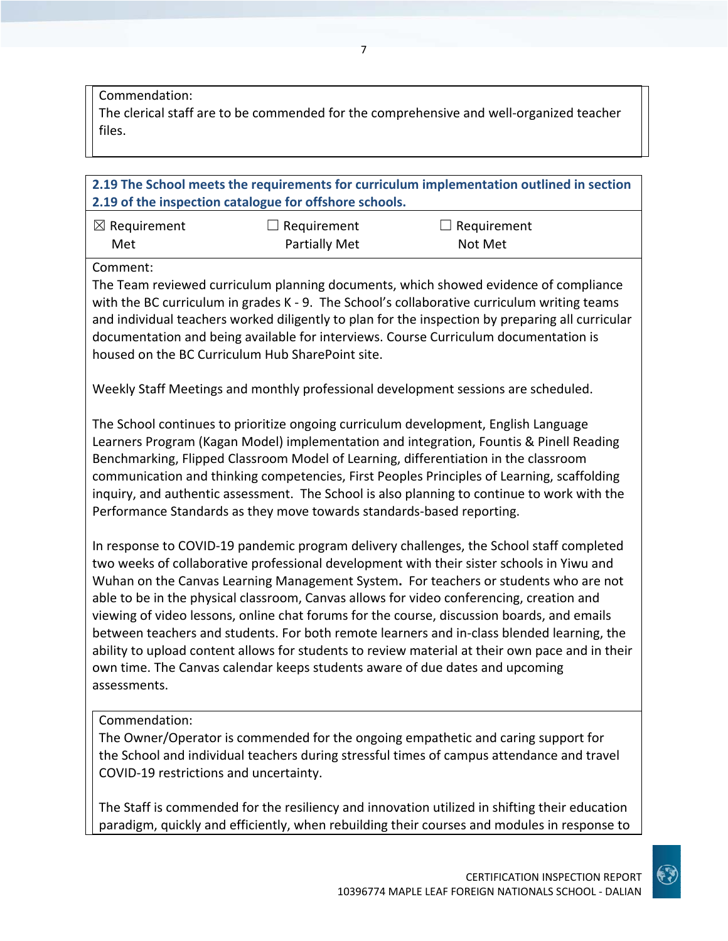Commendation:

The clerical staff are to be commended for the comprehensive and well‐organized teacher files.

**2.19 The School meets the requirements for curriculum implementation outlined in section 2.19 of the inspection catalogue for offshore schools.**

| $\boxtimes$ Requirement | $\Box$ Requirement   | $\Box$ Requirement |
|-------------------------|----------------------|--------------------|
| Met                     | <b>Partially Met</b> | Not Met            |

Comment:

The Team reviewed curriculum planning documents, which showed evidence of compliance with the BC curriculum in grades K - 9. The School's collaborative curriculum writing teams and individual teachers worked diligently to plan for the inspection by preparing all curricular documentation and being available for interviews. Course Curriculum documentation is housed on the BC Curriculum Hub SharePoint site.

Weekly Staff Meetings and monthly professional development sessions are scheduled.

The School continues to prioritize ongoing curriculum development, English Language Learners Program (Kagan Model) implementation and integration, Fountis & Pinell Reading Benchmarking, Flipped Classroom Model of Learning, differentiation in the classroom communication and thinking competencies, First Peoples Principles of Learning, scaffolding inquiry, and authentic assessment. The School is also planning to continue to work with the Performance Standards as they move towards standards‐based reporting.

In response to COVID‐19 pandemic program delivery challenges, the School staff completed two weeks of collaborative professional development with their sister schools in Yiwu and Wuhan on the Canvas Learning Management System**.** For teachers or students who are not able to be in the physical classroom, Canvas allows for video conferencing, creation and viewing of video lessons, online chat forums for the course, discussion boards, and emails between teachers and students. For both remote learners and in‐class blended learning, the ability to upload content allows for students to review material at their own pace and in their own time. The Canvas calendar keeps students aware of due dates and upcoming assessments.

#### Commendation:

The Owner/Operator is commended for the ongoing empathetic and caring support for the School and individual teachers during stressful times of campus attendance and travel COVID‐19 restrictions and uncertainty.

The Staff is commended for the resiliency and innovation utilized in shifting their education paradigm, quickly and efficiently, when rebuilding their courses and modules in response to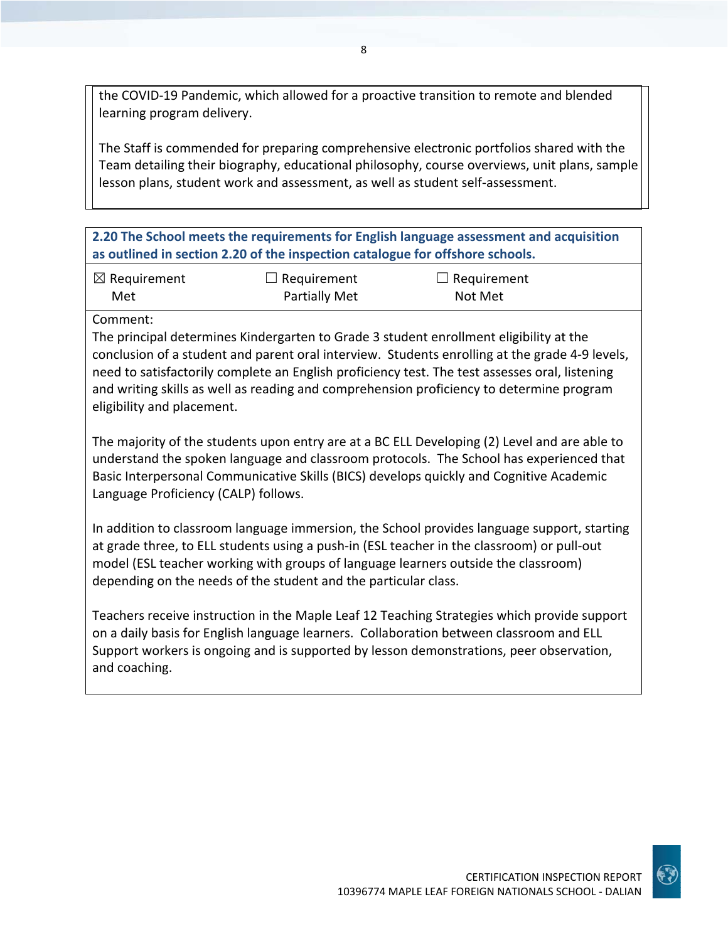the COVID‐19 Pandemic, which allowed for a proactive transition to remote and blended learning program delivery.

The Staff is commended for preparing comprehensive electronic portfolios shared with the Team detailing their biography, educational philosophy, course overviews, unit plans, sample lesson plans, student work and assessment, as well as student self‐assessment.

**2.20 The School meets the requirements for English language assessment and acquisition as outlined in section 2.20 of the inspection catalogue for offshore schools.**

| $\boxtimes$ Requirement | $\Box$ Requirement   | $\Box$ Requirement |
|-------------------------|----------------------|--------------------|
| Met                     | <b>Partially Met</b> | Not Met            |

Comment:

The principal determines Kindergarten to Grade 3 student enrollment eligibility at the conclusion of a student and parent oral interview. Students enrolling at the grade 4‐9 levels, need to satisfactorily complete an English proficiency test. The test assesses oral, listening and writing skills as well as reading and comprehension proficiency to determine program eligibility and placement.

The majority of the students upon entry are at a BC ELL Developing (2) Level and are able to understand the spoken language and classroom protocols. The School has experienced that Basic Interpersonal Communicative Skills (BICS) develops quickly and Cognitive Academic Language Proficiency (CALP) follows.

In addition to classroom language immersion, the School provides language support, starting at grade three, to ELL students using a push‐in (ESL teacher in the classroom) or pull‐out model (ESL teacher working with groups of language learners outside the classroom) depending on the needs of the student and the particular class.

Teachers receive instruction in the Maple Leaf 12 Teaching Strategies which provide support on a daily basis for English language learners. Collaboration between classroom and ELL Support workers is ongoing and is supported by lesson demonstrations, peer observation, and coaching.

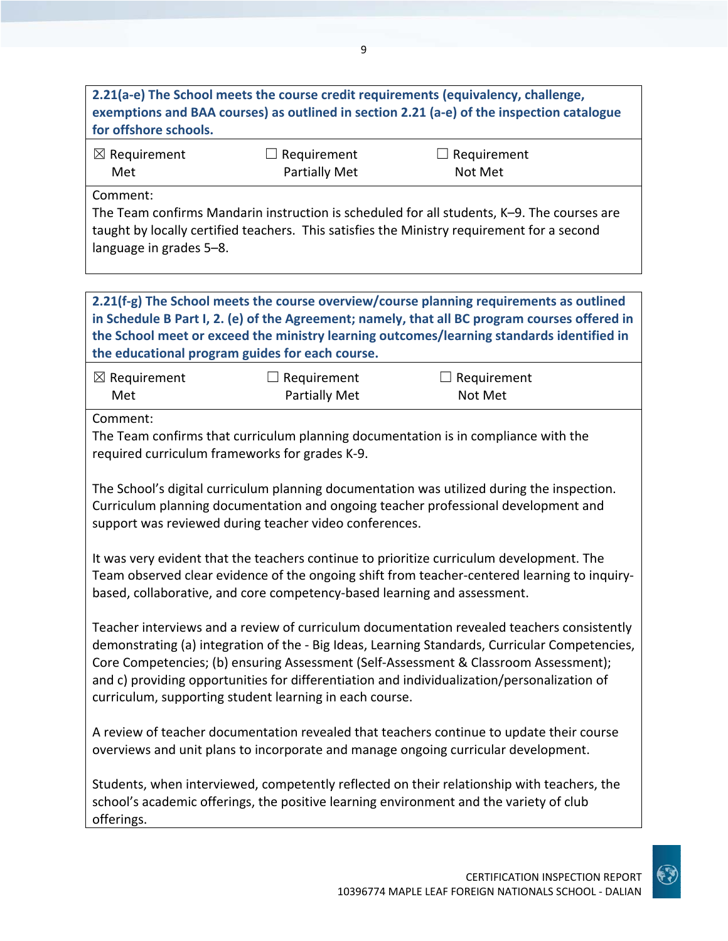## **2.21(a‐e) The School meets the course credit requirements (equivalency, challenge, exemptions and BAA courses) as outlined in section 2.21 (a‐e) of the inspection catalogue for offshore schools.**

| $\boxtimes$ Requirement | $\Box$ Requirement   | $\Box$ Requirement |
|-------------------------|----------------------|--------------------|
| Met                     | <b>Partially Met</b> | Not Met            |

Comment:

The Team confirms Mandarin instruction is scheduled for all students, K–9. The courses are taught by locally certified teachers. This satisfies the Ministry requirement for a second language in grades 5–8.

**2.21(f‐g) The School meets the course overview/course planning requirements as outlined in Schedule B Part I, 2. (e) of the Agreement; namely, that all BC program courses offered in the School meet or exceed the ministry learning outcomes/learning standards identified in the educational program guides for each course.**

| $\boxtimes$ Requirement | $\Box$ Requirement   | $\Box$ Requirement |
|-------------------------|----------------------|--------------------|
| Met                     | <b>Partially Met</b> | Not Met            |

Comment:

The Team confirms that curriculum planning documentation is in compliance with the required curriculum frameworks for grades K‐9.

The School's digital curriculum planning documentation was utilized during the inspection. Curriculum planning documentation and ongoing teacher professional development and support was reviewed during teacher video conferences.

It was very evident that the teachers continue to prioritize curriculum development. The Team observed clear evidence of the ongoing shift from teacher-centered learning to inquirybased, collaborative, and core competency‐based learning and assessment.

Teacher interviews and a review of curriculum documentation revealed teachers consistently demonstrating (a) integration of the ‐ Big Ideas, Learning Standards, Curricular Competencies, Core Competencies; (b) ensuring Assessment (Self‐Assessment & Classroom Assessment); and c) providing opportunities for differentiation and individualization/personalization of curriculum, supporting student learning in each course.

A review of teacher documentation revealed that teachers continue to update their course overviews and unit plans to incorporate and manage ongoing curricular development.

Students, when interviewed, competently reflected on their relationship with teachers, the school's academic offerings, the positive learning environment and the variety of club offerings.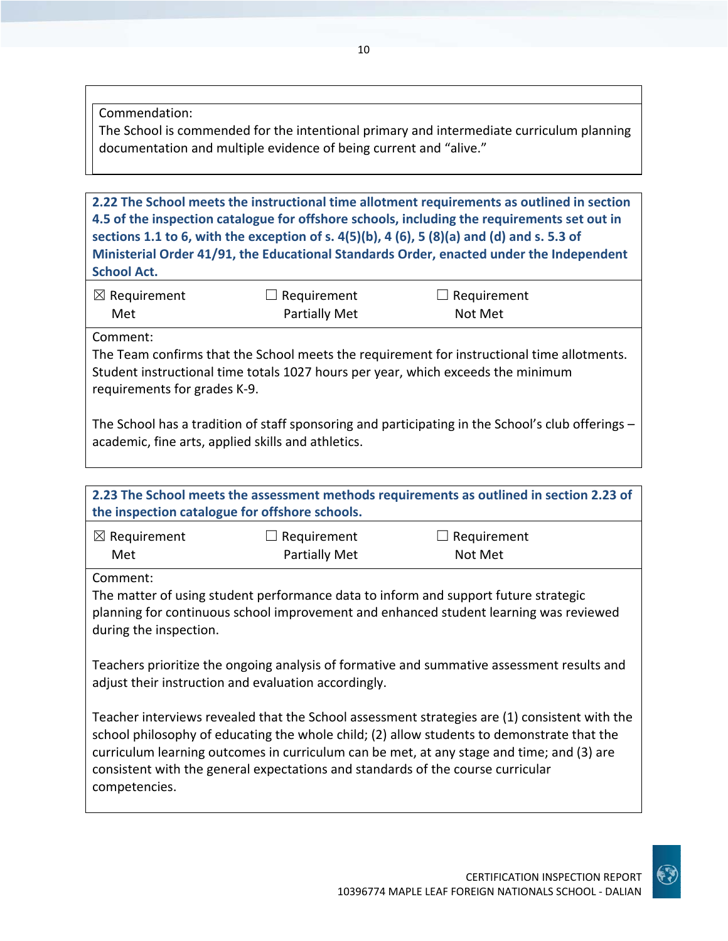Commendation:

The School is commended for the intentional primary and intermediate curriculum planning documentation and multiple evidence of being current and "alive."

**2.22 The School meets the instructional time allotment requirements as outlined in section 4.5 of the inspection catalogue for offshore schools, including the requirements set out in** sections 1.1 to 6, with the exception of s.  $4(5)(b)$ ,  $4(6)$ ,  $5(8)(a)$  and (d) and s. 5.3 of **Ministerial Order 41/91, the Educational Standards Order, enacted under the Independent School Act.**

| $\boxtimes$ Requirement | $\Box$ Requirement   | $\Box$ Requirement |
|-------------------------|----------------------|--------------------|
| Met                     | <b>Partially Met</b> | Not Met            |

Comment:

competencies.

The Team confirms that the School meets the requirement for instructional time allotments. Student instructional time totals 1027 hours per year, which exceeds the minimum requirements for grades K‐9.

The School has a tradition of staff sponsoring and participating in the School's club offerings – academic, fine arts, applied skills and athletics.

| 2.23 The School meets the assessment methods requirements as outlined in section 2.23 of<br>the inspection catalogue for offshore schools.                                                                                                                                               |                                            |                               |  |  |
|------------------------------------------------------------------------------------------------------------------------------------------------------------------------------------------------------------------------------------------------------------------------------------------|--------------------------------------------|-------------------------------|--|--|
| $\boxtimes$ Requirement<br>Met                                                                                                                                                                                                                                                           | $\Box$ Requirement<br><b>Partially Met</b> | $\Box$ Requirement<br>Not Met |  |  |
| Comment:<br>The matter of using student performance data to inform and support future strategic<br>planning for continuous school improvement and enhanced student learning was reviewed<br>during the inspection.                                                                       |                                            |                               |  |  |
| Teachers prioritize the ongoing analysis of formative and summative assessment results and<br>adjust their instruction and evaluation accordingly.                                                                                                                                       |                                            |                               |  |  |
| Teacher interviews revealed that the School assessment strategies are (1) consistent with the<br>school philosophy of educating the whole child; (2) allow students to demonstrate that the<br>curriculum learning outcomes in curriculum can be met, at any stage and time; and (3) are |                                            |                               |  |  |

consistent with the general expectations and standards of the course curricular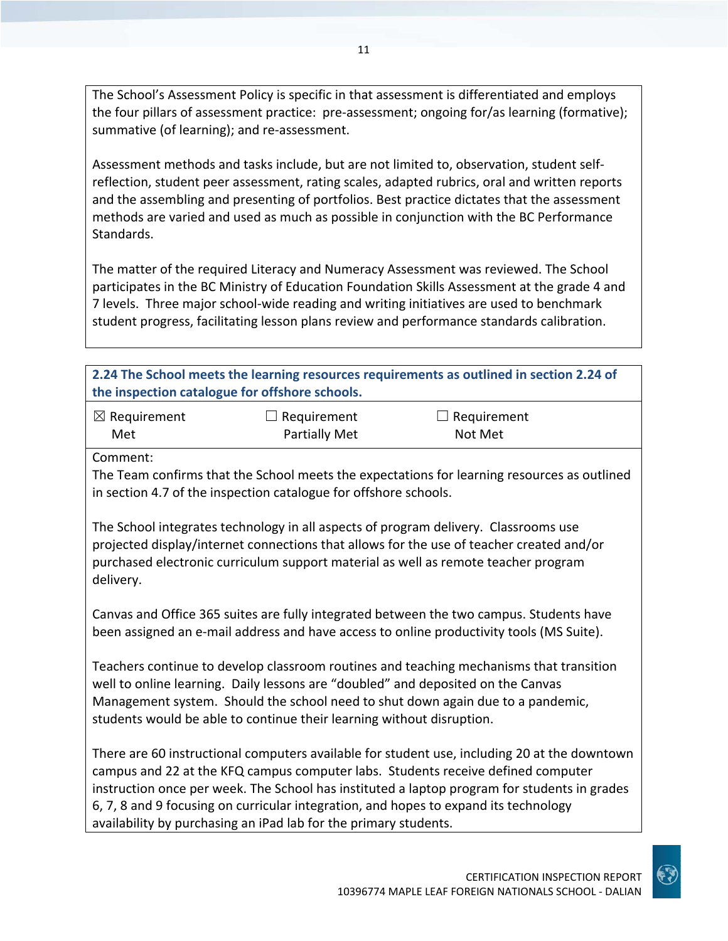The School's Assessment Policy is specific in that assessment is differentiated and employs the four pillars of assessment practice: pre-assessment; ongoing for/as learning (formative); summative (of learning); and re‐assessment.

Assessment methods and tasks include, but are not limited to, observation, student self‐ reflection, student peer assessment, rating scales, adapted rubrics, oral and written reports and the assembling and presenting of portfolios. Best practice dictates that the assessment methods are varied and used as much as possible in conjunction with the BC Performance Standards.

The matter of the required Literacy and Numeracy Assessment was reviewed. The School participates in the BC Ministry of Education Foundation Skills Assessment at the grade 4 and 7 levels. Three major school‐wide reading and writing initiatives are used to benchmark student progress, facilitating lesson plans review and performance standards calibration.

| 2.24 The School meets the learning resources requirements as outlined in section 2.24 of<br>the inspection catalogue for offshore schools.                                                                                                                                                                                              |                                     |                                                                                                                                                                                                                                                                                  |  |
|-----------------------------------------------------------------------------------------------------------------------------------------------------------------------------------------------------------------------------------------------------------------------------------------------------------------------------------------|-------------------------------------|----------------------------------------------------------------------------------------------------------------------------------------------------------------------------------------------------------------------------------------------------------------------------------|--|
| $\boxtimes$ Requirement<br>Met                                                                                                                                                                                                                                                                                                          | $\Box$ Requirement<br>Partially Met | $\Box$ Requirement<br>Not Met                                                                                                                                                                                                                                                    |  |
| Comment:<br>The Team confirms that the School meets the expectations for learning resources as outlined<br>in section 4.7 of the inspection catalogue for offshore schools.                                                                                                                                                             |                                     |                                                                                                                                                                                                                                                                                  |  |
| The School integrates technology in all aspects of program delivery. Classrooms use<br>projected display/internet connections that allows for the use of teacher created and/or<br>purchased electronic curriculum support material as well as remote teacher program<br>delivery.                                                      |                                     |                                                                                                                                                                                                                                                                                  |  |
|                                                                                                                                                                                                                                                                                                                                         |                                     | Canvas and Office 365 suites are fully integrated between the two campus. Students have<br>been assigned an e-mail address and have access to online productivity tools (MS Suite).                                                                                              |  |
| Teachers continue to develop classroom routines and teaching mechanisms that transition<br>well to online learning. Daily lessons are "doubled" and deposited on the Canvas<br>Management system. Should the school need to shut down again due to a pandemic,<br>students would be able to continue their learning without disruption. |                                     |                                                                                                                                                                                                                                                                                  |  |
|                                                                                                                                                                                                                                                                                                                                         |                                     | There are 60 instructional computers available for student use, including 20 at the downtown<br>campus and 22 at the KFQ campus computer labs. Students receive defined computer<br>instruction once ner week. The School bas instituted a lanton program for students in grades |  |

instruction once per week. The School has instituted a laptop program for students in grades 6, 7, 8 and 9 focusing on curricular integration, and hopes to expand its technology availability by purchasing an iPad lab for the primary students.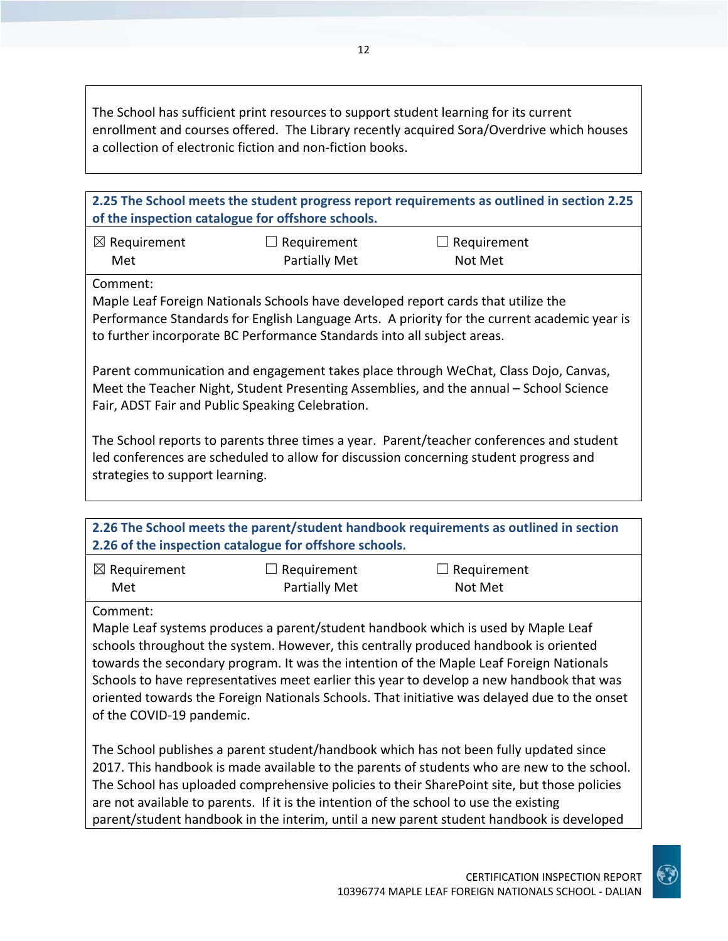The School has sufficient print resources to support student learning for its current enrollment and courses offered. The Library recently acquired Sora/Overdrive which houses a collection of electronic fiction and non‐fiction books.

**2.25 The School meets the student progress report requirements as outlined in section 2.25 of the inspection catalogue for offshore schools.**

| $\boxtimes$ Requirement | $\Box$ Requirement   | $\Box$ Requirement |
|-------------------------|----------------------|--------------------|
| Met                     | <b>Partially Met</b> | Not Met            |

Comment:

Maple Leaf Foreign Nationals Schools have developed report cards that utilize the Performance Standards for English Language Arts. A priority for the current academic year is to further incorporate BC Performance Standards into all subject areas.

Parent communication and engagement takes place through WeChat, Class Dojo, Canvas, Meet the Teacher Night, Student Presenting Assemblies, and the annual – School Science Fair, ADST Fair and Public Speaking Celebration.

The School reports to parents three times a year. Parent/teacher conferences and student led conferences are scheduled to allow for discussion concerning student progress and strategies to support learning.

| 2.26 The School meets the parent/student handbook requirements as outlined in section |  |
|---------------------------------------------------------------------------------------|--|
| 2.26 of the inspection catalogue for offshore schools.                                |  |

| $\boxtimes$ Requirement | $\Box$ Requirement   | $\Box$ Requirement |
|-------------------------|----------------------|--------------------|
| Met                     | <b>Partially Met</b> | Not Met            |

Comment:

Maple Leaf systems produces a parent/student handbook which is used by Maple Leaf schools throughout the system. However, this centrally produced handbook is oriented towards the secondary program. It was the intention of the Maple Leaf Foreign Nationals Schools to have representatives meet earlier this year to develop a new handbook that was oriented towards the Foreign Nationals Schools. That initiative was delayed due to the onset of the COVID‐19 pandemic.

The School publishes a parent student/handbook which has not been fully updated since 2017. This handbook is made available to the parents of students who are new to the school. The School has uploaded comprehensive policies to their SharePoint site, but those policies are not available to parents. If it is the intention of the school to use the existing parent/student handbook in the interim, until a new parent student handbook is developed

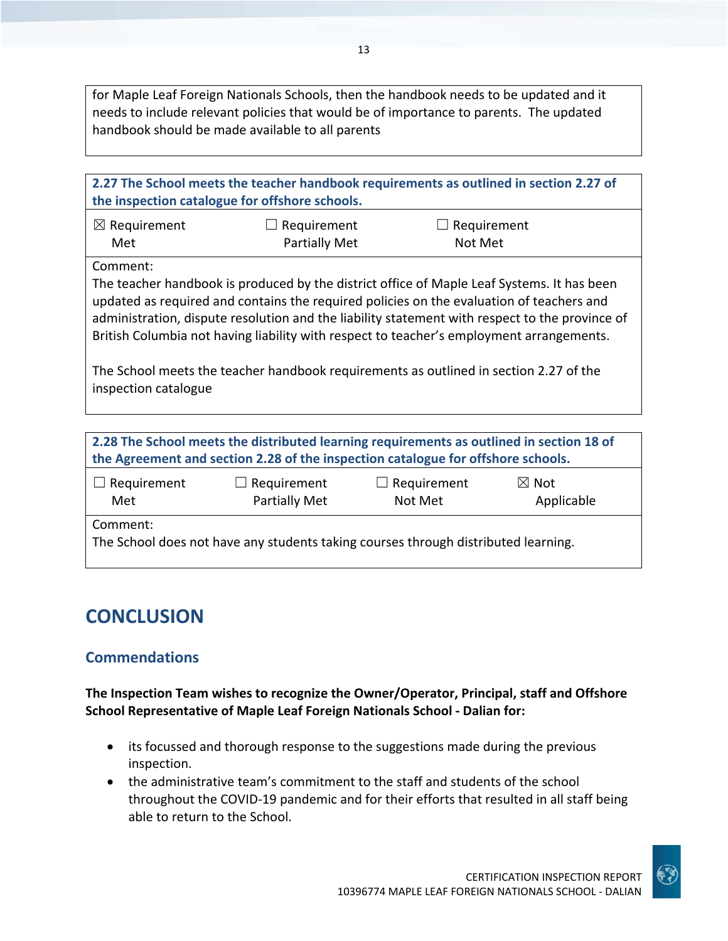for Maple Leaf Foreign Nationals Schools, then the handbook needs to be updated and it needs to include relevant policies that would be of importance to parents. The updated handbook should be made available to all parents

| 2.27 The School meets the teacher handbook requirements as outlined in section 2.27 of<br>the inspection catalogue for offshore schools.                                                                                                                                                                                                                                                                                                                                                                          |                                     |                        |  |
|-------------------------------------------------------------------------------------------------------------------------------------------------------------------------------------------------------------------------------------------------------------------------------------------------------------------------------------------------------------------------------------------------------------------------------------------------------------------------------------------------------------------|-------------------------------------|------------------------|--|
| $\boxtimes$ Requirement<br>Met                                                                                                                                                                                                                                                                                                                                                                                                                                                                                    | Requirement<br><b>Partially Met</b> | Requirement<br>Not Met |  |
| Comment:<br>The teacher handbook is produced by the district office of Maple Leaf Systems. It has been<br>updated as required and contains the required policies on the evaluation of teachers and<br>administration, dispute resolution and the liability statement with respect to the province of<br>British Columbia not having liability with respect to teacher's employment arrangements.<br>The School meets the teacher handbook requirements as outlined in section 2.27 of the<br>inspection catalogue |                                     |                        |  |
| 2.28 The School meets the distributed learning requirements as outlined in section 18 of<br>the Agreement and section 2.28 of the inspection catalogue for offshore schools.                                                                                                                                                                                                                                                                                                                                      |                                     |                        |  |

| $\Box$ Requirement                                                                 | $\Box$ Requirement | $\Box$ Requirement | $\boxtimes$ Not |  |
|------------------------------------------------------------------------------------|--------------------|--------------------|-----------------|--|
| Met                                                                                | Partially Met      | Not Met            | Applicable      |  |
| Comment:                                                                           |                    |                    |                 |  |
| The School does not have any students taking courses through distributed learning. |                    |                    |                 |  |
|                                                                                    |                    |                    |                 |  |

## **CONCLUSION**

## **Commendations**

**The Inspection Team wishes to recognize the Owner/Operator, Principal, staff and Offshore School Representative of Maple Leaf Foreign Nationals School ‐ Dalian for:**

- its focussed and thorough response to the suggestions made during the previous inspection.
- the administrative team's commitment to the staff and students of the school throughout the COVID‐19 pandemic and for their efforts that resulted in all staff being able to return to the School.